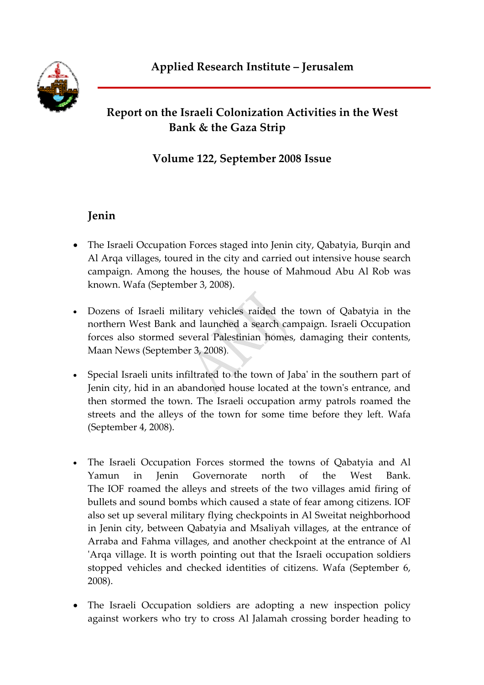## **Report on the Israeli Colonization Activities in the West Bank & the Gaza Strip**

## **Volume 122, September 2008 Issue**

## **Jenin**

- The Israeli Occupation Forces staged into Jenin city, Qabatyia, Burgin and Al Arqa villages, toured in the city and carried out intensive house search campaign. Among the houses, the house of Mahmoud Abu Al Rob was known. Wafa (September 3, 2008).
- Dozens of Israeli military vehicles raided the town of Qabatyia in the northern West Bank and launched a search campaign. Israeli Occupation forces also stormed several Palestinian homes, damaging their contents, Maan News (September 3, 2008).
- Special Israeli units infiltrated to the town of Jaba' in the southern part of Jenin city, hid in an abandoned house located at the town's entrance, and then stormed the town. The Israeli occupation army patrols roamed the streets and the alleys of the town for some time before they left. Wafa (September 4, 2008).
- The Israeli Occupation Forces stormed the towns of Qabatyia and Al Yamun in Jenin Governorate north of the West Bank. The IOF roamed the alleys and streets of the two villages amid firing of bullets and sound bombs which caused a state of fear among citizens. IOF also set up several military flying checkpoints in Al Sweitat neighborhood in Jenin city, between Qabatyia and Msaliyah villages, at the entrance of Arraba and Fahma villages, and another checkpoint at the entrance of Al ʹArqa village. It is worth pointing out that the Israeli occupation soldiers stopped vehicles and checked identities of citizens. Wafa (September 6, 2008).
- The Israeli Occupation soldiers are adopting a new inspection policy against workers who try to cross Al Jalamah crossing border heading to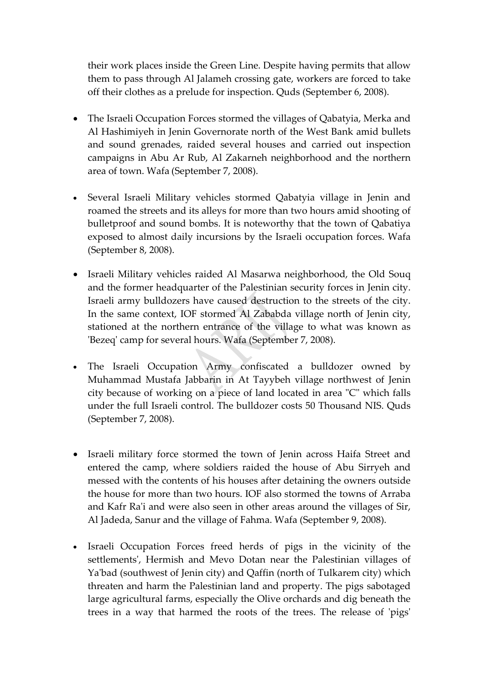their work places inside the Green Line. Despite having permits that allow them to pass through Al Jalameh crossing gate, workers are forced to take off their clothes as a prelude for inspection. Quds (September 6, 2008).

- The Israeli Occupation Forces stormed the villages of Qabatyia, Merka and Al Hashimiyeh in Jenin Governorate north of the West Bank amid bullets and sound grenades, raided several houses and carried out inspection campaigns in Abu Ar Rub, Al Zakarneh neighborhood and the northern area of town. Wafa (September 7, 2008).
- Several Israeli Military vehicles stormed Qabatyia village in Jenin and roamed the streets and its alleys for more than two hours amid shooting of bulletproof and sound bombs. It is noteworthy that the town of Qabatiya exposed to almost daily incursions by the Israeli occupation forces. Wafa (September 8, 2008).
- Israeli Military vehicles raided Al Masarwa neighborhood, the Old Souq and the former headquarter of the Palestinian security forces in Jenin city. Israeli army bulldozers have caused destruction to the streets of the city. In the same context, IOF stormed Al Zababda village north of Jenin city, stationed at the northern entrance of the village to what was known as 'Bezeq' camp for several hours. Wafa (September 7, 2008).
- The Israeli Occupation Army confiscated a bulldozer owned by Muhammad Mustafa Jabbarin in At Tayybeh village northwest of Jenin city because of working on a piece of land located in area "C" which falls under the full Israeli control. The bulldozer costs 50 Thousand NIS. Quds (September 7, 2008).
- Israeli military force stormed the town of Jenin across Haifa Street and entered the camp, where soldiers raided the house of Abu Sirryeh and messed with the contents of his houses after detaining the owners outside the house for more than two hours. IOF also stormed the towns of Arraba and Kafr Ra'i and were also seen in other areas around the villages of Sir, Al Jadeda, Sanur and the village of Fahma. Wafa (September 9, 2008).
- Israeli Occupation Forces freed herds of pigs in the vicinity of the settlementsʹ, Hermish and Mevo Dotan near the Palestinian villages of Yaʹbad (southwest of Jenin city) and Qaffin (north of Tulkarem city) which threaten and harm the Palestinian land and property. The pigs sabotaged large agricultural farms, especially the Olive orchards and dig beneath the trees in a way that harmed the roots of the trees. The release of 'pigs'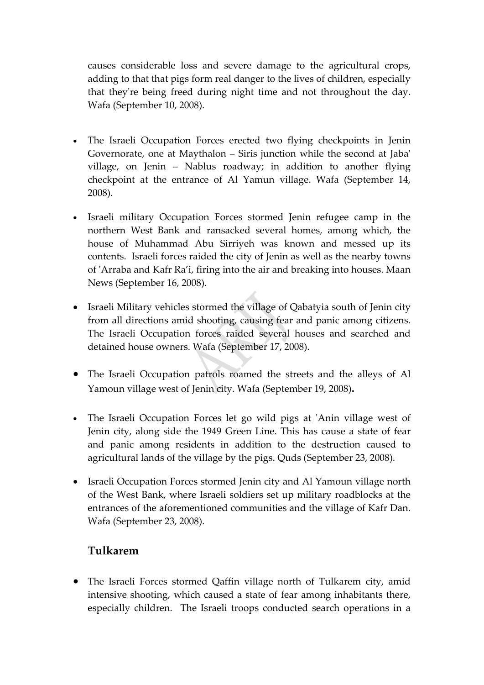causes considerable loss and severe damage to the agricultural crops, adding to that that pigs form real danger to the lives of children, especially that theyʹre being freed during night time and not throughout the day. Wafa (September 10, 2008).

- The Israeli Occupation Forces erected two flying checkpoints in Jenin Governorate, one at Maythalon – Siris junction while the second at Jabaʹ village, on Jenin – Nablus roadway; in addition to another flying checkpoint at the entrance of Al Yamun village. Wafa (September 14, 2008).
- Israeli military Occupation Forces stormed Jenin refugee camp in the northern West Bank and ransacked several homes, among which, the house of Muhammad Abu Sirriyeh was known and messed up its contents. Israeli forces raided the city of Jenin as well as the nearby towns of ʹArraba and Kafr Ra'i, firing into the air and breaking into houses. Maan News (September 16, 2008).
- Israeli Military vehicles stormed the village of Qabatyia south of Jenin city from all directions amid shooting, causing fear and panic among citizens. The Israeli Occupation forces raided several houses and searched and detained house owners. Wafa (September 17, 2008).
- The Israeli Occupation patrols roamed the streets and the alleys of Al Yamoun village west of Jenin city. Wafa (September 19, 2008)**.**
- The Israeli Occupation Forces let go wild pigs at 'Anin village west of Jenin city, along side the 1949 Green Line. This has cause a state of fear and panic among residents in addition to the destruction caused to agricultural lands of the village by the pigs. Quds (September 23, 2008).
- Israeli Occupation Forces stormed Jenin city and Al Yamoun village north of the West Bank, where Israeli soldiers set up military roadblocks at the entrances of the aforementioned communities and the village of Kafr Dan. Wafa (September 23, 2008).

#### **Tulkarem**

• The Israeli Forces stormed Qaffin village north of Tulkarem city, amid intensive shooting, which caused a state of fear among inhabitants there, especially children. The Israeli troops conducted search operations in a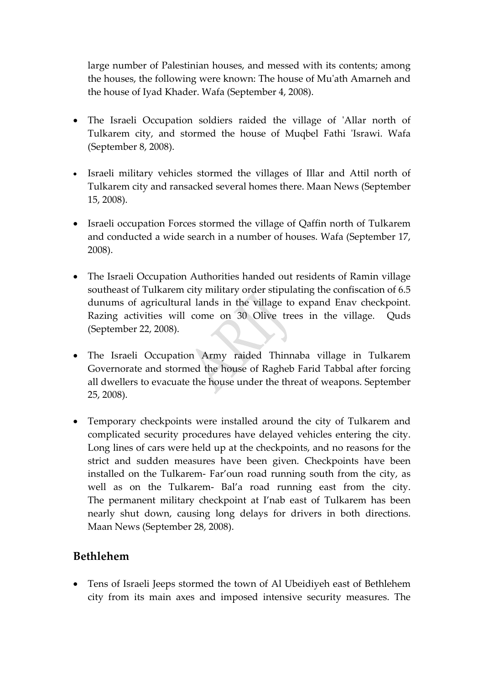large number of Palestinian houses, and messed with its contents; among the houses, the following were known: The house of Muʹath Amarneh and the house of Iyad Khader. Wafa (September 4, 2008).

- The Israeli Occupation soldiers raided the village of 'Allar north of Tulkarem city, and stormed the house of Muqbel Fathi 'Israwi. Wafa (September 8, 2008).
- Israeli military vehicles stormed the villages of Illar and Attil north of Tulkarem city and ransacked several homes there. Maan News (September 15, 2008).
- Israeli occupation Forces stormed the village of Qaffin north of Tulkarem and conducted a wide search in a number of houses. Wafa (September 17, 2008).
- The Israeli Occupation Authorities handed out residents of Ramin village southeast of Tulkarem city military order stipulating the confiscation of 6.5 dunums of agricultural lands in the village to expand Enav checkpoint. Razing activities will come on 30 Olive trees in the village. Quds (September 22, 2008).
- The Israeli Occupation Army raided Thinnaba village in Tulkarem Governorate and stormed the house of Ragheb Farid Tabbal after forcing all dwellers to evacuate the house under the threat of weapons. September 25, 2008).
- Temporary checkpoints were installed around the city of Tulkarem and complicated security procedures have delayed vehicles entering the city. Long lines of cars were held up at the checkpoints, and no reasons for the strict and sudden measures have been given. Checkpoints have been installed on the Tulkarem‐ Far'oun road running south from the city, as well as on the Tulkarem‐ Bal'a road running east from the city. The permanent military checkpoint at I'nab east of Tulkarem has been nearly shut down, causing long delays for drivers in both directions. Maan News (September 28, 2008).

#### **Bethlehem**

• Tens of Israeli Jeeps stormed the town of Al Ubeidiyeh east of Bethlehem city from its main axes and imposed intensive security measures. The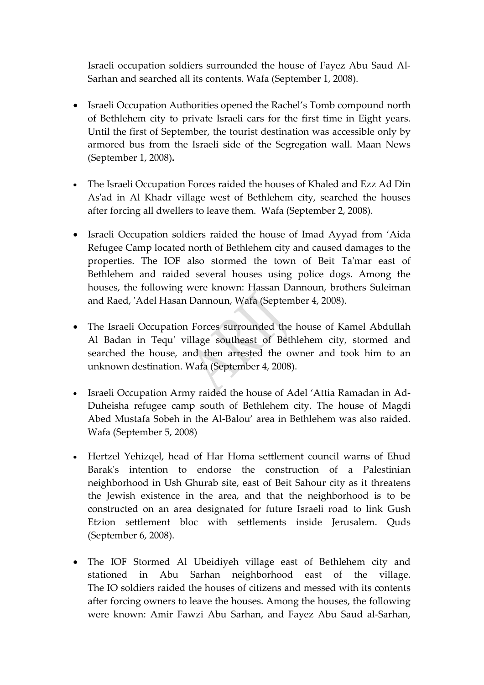Israeli occupation soldiers surrounded the house of Fayez Abu Saud Al‐ Sarhan and searched all its contents. Wafa (September 1, 2008).

- Israeli Occupation Authorities opened the Rachel's Tomb compound north of Bethlehem city to private Israeli cars for the first time in Eight years. Until the first of September, the tourist destination was accessible only by armored bus from the Israeli side of the Segregation wall. Maan News (September 1, 2008)**.**
- The Israeli Occupation Forces raided the houses of Khaled and Ezz Ad Din As'ad in Al Khadr village west of Bethlehem city, searched the houses after forcing all dwellers to leave them. Wafa (September 2, 2008).
- Israeli Occupation soldiers raided the house of Imad Ayyad from 'Aida Refugee Camp located north of Bethlehem city and caused damages to the properties. The IOF also stormed the town of Beit Ta'mar east of Bethlehem and raided several houses using police dogs. Among the houses, the following were known: Hassan Dannoun, brothers Suleiman and Raed, ʹAdel Hasan Dannoun, Wafa (September 4, 2008).
- The Israeli Occupation Forces surrounded the house of Kamel Abdullah Al Badan in Tequ' village southeast of Bethlehem city, stormed and searched the house, and then arrested the owner and took him to an unknown destination. Wafa (September 4, 2008).
- Israeli Occupation Army raided the house of Adel 'Attia Ramadan in Ad‐ Duheisha refugee camp south of Bethlehem city. The house of Magdi Abed Mustafa Sobeh in the Al‐Balou' area in Bethlehem was also raided. Wafa (September 5, 2008)
- Hertzel Yehizqel, head of Har Homa settlement council warns of Ehud Barak's intention to endorse the construction of a Palestinian neighborhood in Ush Ghurab site, east of Beit Sahour city as it threatens the Jewish existence in the area, and that the neighborhood is to be constructed on an area designated for future Israeli road to link Gush Etzion settlement bloc with settlements inside Jerusalem. Quds (September 6, 2008).
- The IOF Stormed Al Ubeidiyeh village east of Bethlehem city and stationed in Abu Sarhan neighborhood east of the village. The IO soldiers raided the houses of citizens and messed with its contents after forcing owners to leave the houses. Among the houses, the following were known: Amir Fawzi Abu Sarhan, and Fayez Abu Saud al‐Sarhan,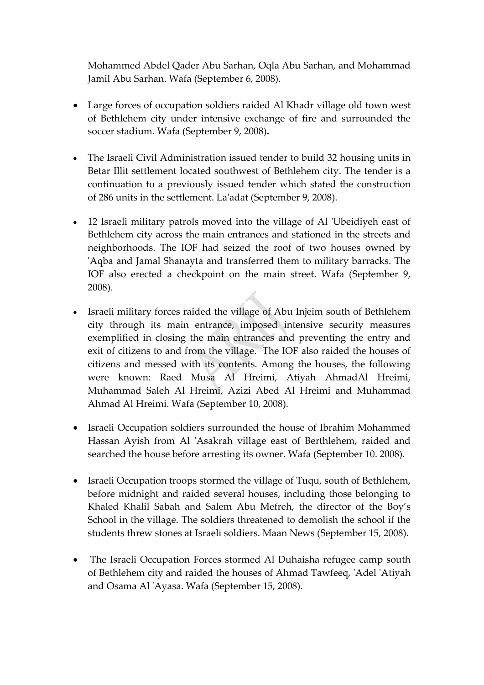Mohammed Abdel Qader Abu Sarhan, Oqla Abu Sarhan, and Mohammad Jamil Abu Sarhan. Wafa (September 6, 2008).

- Large forces of occupation soldiers raided Al Khadr village old town west of Bethlehem city under intensive exchange of fire and surrounded the soccer stadium. Wafa (September 9, 2008)**.**
- The Israeli Civil Administration issued tender to build 32 housing units in Betar Illit settlement located southwest of Bethlehem city. The tender is a continuation to a previously issued tender which stated the construction of 286 units in the settlement. Laʹadat (September 9, 2008).
- 12 Israeli military patrols moved into the village of Al ʹUbeidiyeh east of Bethlehem city across the main entrances and stationed in the streets and neighborhoods. The IOF had seized the roof of two houses owned by 'Aqba and Jamal Shanayta and transferred them to military barracks. The IOF also erected a checkpoint on the main street. Wafa (September 9, 2008).
- Israeli military forces raided the village of Abu Injeim south of Bethlehem city through its main entrance, imposed intensive security measures exemplified in closing the main entrances and preventing the entry and exit of citizens to and from the village. The IOF also raided the houses of citizens and messed with its contents. Among the houses, the following were known: Raed Musa Al Hreimi, Atiyah AhmadAl Hreimi, Muhammad Saleh Al Hreimi, Azizi Abed Al Hreimi and Muhammad Ahmad Al Hreimi. Wafa (September 10, 2008).
- Israeli Occupation soldiers surrounded the house of Ibrahim Mohammed Hassan Ayish from Al 'Asakrah village east of Berthlehem, raided and searched the house before arresting its owner. Wafa (September 10. 2008).
- Israeli Occupation troops stormed the village of Tuqu, south of Bethlehem, before midnight and raided several houses, including those belonging to Khaled Khalil Sabah and Salem Abu Mefreh, the director of the Boy's School in the village. The soldiers threatened to demolish the school if the students threw stones at Israeli soldiers. Maan News (September 15, 2008).
- The Israeli Occupation Forces stormed Al Duhaisha refugee camp south of Bethlehem city and raided the houses of Ahmad Tawfeeq, ʹAdel ʹAtiyah and Osama Al ʹAyasa. Wafa (September 15, 2008).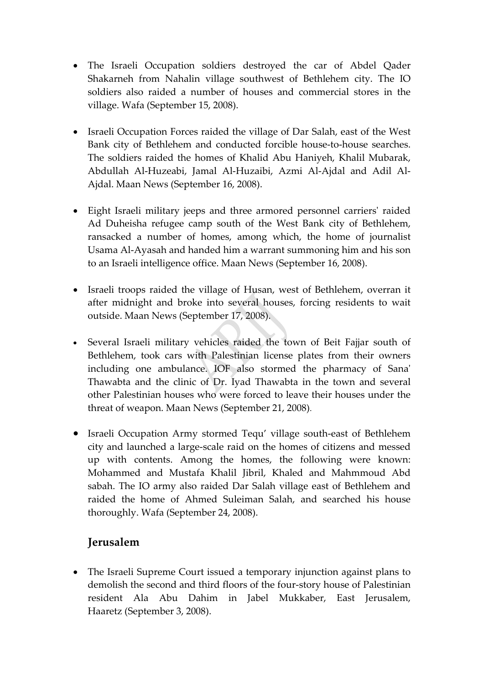- The Israeli Occupation soldiers destroyed the car of Abdel Qader Shakarneh from Nahalin village southwest of Bethlehem city. The IO soldiers also raided a number of houses and commercial stores in the village. Wafa (September 15, 2008).
- Israeli Occupation Forces raided the village of Dar Salah, east of the West Bank city of Bethlehem and conducted forcible house‐to‐house searches. The soldiers raided the homes of Khalid Abu Haniyeh, Khalil Mubarak, Abdullah Al‐Huzeabi, Jamal Al‐Huzaibi, Azmi Al‐Ajdal and Adil Al‐ Ajdal. Maan News (September 16, 2008).
- Eight Israeli military jeeps and three armored personnel carriers' raided Ad Duheisha refugee camp south of the West Bank city of Bethlehem, ransacked a number of homes, among which, the home of journalist Usama Al‐Ayasah and handed him a warrant summoning him and his son to an Israeli intelligence office. Maan News (September 16, 2008).
- Israeli troops raided the village of Husan, west of Bethlehem, overran it after midnight and broke into several houses, forcing residents to wait outside. Maan News (September 17, 2008).
- Several Israeli military vehicles raided the town of Beit Fajjar south of Bethlehem, took cars with Palestinian license plates from their owners including one ambulance. IOF also stormed the pharmacy of Sanaʹ Thawabta and the clinic of Dr. Iyad Thawabta in the town and several other Palestinian houses who were forced to leave their houses under the threat of weapon. Maan News (September 21, 2008).
- Israeli Occupation Army stormed Tequ' village south-east of Bethlehem city and launched a large‐scale raid on the homes of citizens and messed up with contents. Among the homes, the following were known: Mohammed and Mustafa Khalil Jibril, Khaled and Mahmmoud Abd sabah. The IO army also raided Dar Salah village east of Bethlehem and raided the home of Ahmed Suleiman Salah, and searched his house thoroughly. Wafa (September 24, 2008).

## **Jerusalem**

• The Israeli Supreme Court issued a temporary injunction against plans to demolish the second and third floors of the four‐story house of Palestinian resident Ala Abu Dahim in Jabel Mukkaber, East Jerusalem, Haaretz (September 3, 2008).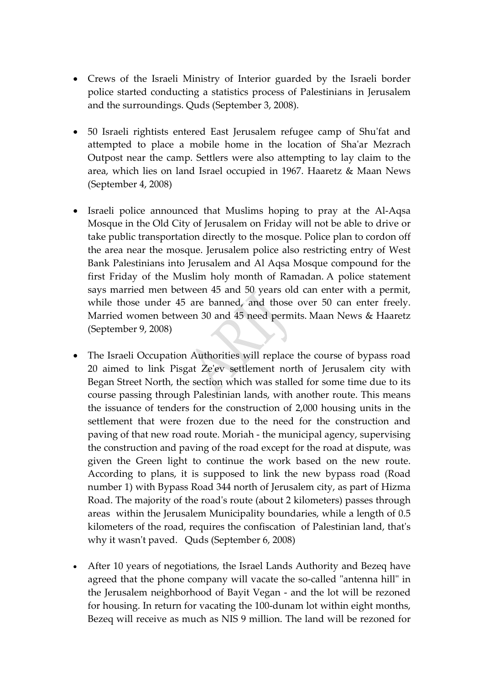- Crews of the Israeli Ministry of Interior guarded by the Israeli border police started conducting a statistics process of Palestinians in Jerusalem and the surroundings. Quds (September 3, 2008).
- 50 Israeli rightists entered East Jerusalem refugee camp of Shu'fat and attempted to place a mobile home in the location of Shaʹar Mezrach Outpost near the camp. Settlers were also attempting to lay claim to the area, which lies on land Israel occupied in 1967. Haaretz & Maan News (September 4, 2008)
- Israeli police announced that Muslims hoping to pray at the Al-Aqsa Mosque in the Old City of Jerusalem on Friday will not be able to drive or take public transportation directly to the mosque. Police plan to cordon off the area near the mosque. Jerusalem police also restricting entry of West Bank Palestinians into Jerusalem and Al Aqsa Mosque compound for the first Friday of the Muslim holy month of Ramadan. A police statement says married men between 45 and 50 years old can enter with a permit, while those under 45 are banned, and those over 50 can enter freely. Married women between 30 and 45 need permits. Maan News & Haaretz (September 9, 2008)
- The Israeli Occupation Authorities will replace the course of bypass road 20 aimed to link Pisgat Zeʹev settlement north of Jerusalem city with Began Street North, the section which was stalled for some time due to its course passing through Palestinian lands, with another route. This means the issuance of tenders for the construction of 2,000 housing units in the settlement that were frozen due to the need for the construction and paving of that new road route. Moriah ‐ the municipal agency, supervising the construction and paving of the road except for the road at dispute, was given the Green light to continue the work based on the new route. According to plans, it is supposed to link the new bypass road (Road number 1) with Bypass Road 344 north of Jerusalem city, as part of Hizma Road. The majority of the roadʹs route (about 2 kilometers) passes through areas within the Jerusalem Municipality boundaries, while a length of 0.5 kilometers of the road, requires the confiscation of Palestinian land, thatʹs why it wasn't paved. Quds (September 6, 2008)
- After 10 years of negotiations, the Israel Lands Authority and Bezeq have agreed that the phone company will vacate the so-called "antenna hill" in the Jerusalem neighborhood of Bayit Vegan ‐ and the lot will be rezoned for housing. In return for vacating the 100‐dunam lot within eight months, Bezeq will receive as much as NIS 9 million. The land will be rezoned for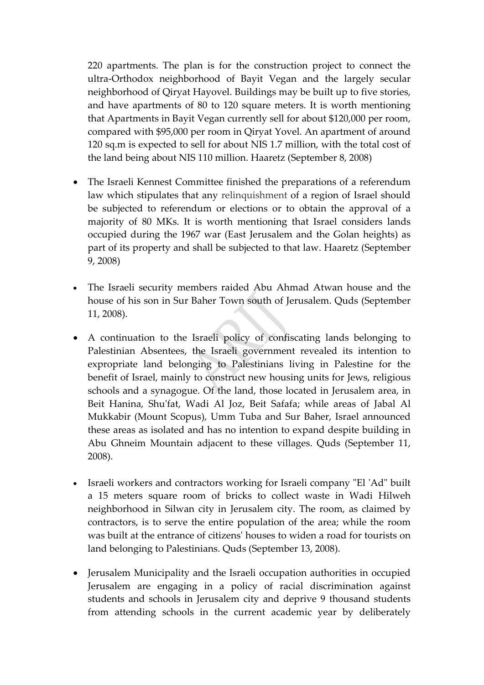220 apartments. The plan is for the construction project to connect the ultra‐Orthodox neighborhood of Bayit Vegan and the largely secular neighborhood of Qiryat Hayovel. Buildings may be built up to five stories, and have apartments of 80 to 120 square meters. It is worth mentioning that Apartments in Bayit Vegan currently sell for about \$120,000 per room, compared with \$95,000 per room in Qiryat Yovel. An apartment of around 120 sq.m is expected to sell for about NIS 1.7 million, with the total cost of the land being about NIS 110 million. Haaretz (September 8, 2008)

- The Israeli Kennest Committee finished the preparations of a referendum law which stipulates that any relinquishment of a region of Israel should be subjected to referendum or elections or to obtain the approval of a majority of 80 MKs. It is worth mentioning that Israel considers lands occupied during the 1967 war (East Jerusalem and the Golan heights) as part of its property and shall be subjected to that law. Haaretz (September 9, 2008)
- The Israeli security members raided Abu Ahmad Atwan house and the house of his son in Sur Baher Town south of Jerusalem. Quds (September 11, 2008).
- A continuation to the Israeli policy of confiscating lands belonging to Palestinian Absentees, the Israeli government revealed its intention to expropriate land belonging to Palestinians living in Palestine for the benefit of Israel, mainly to construct new housing units for Jews, religious schools and a synagogue. Of the land, those located in Jerusalem area, in Beit Hanina, Shu'fat, Wadi Al Joz, Beit Safafa; while areas of Jabal Al Mukkabir (Mount Scopus), Umm Tuba and Sur Baher, Israel announced these areas as isolated and has no intention to expand despite building in Abu Ghneim Mountain adjacent to these villages. Quds (September 11, 2008).
- Israeli workers and contractors working for Israeli company "El 'Ad" built a 15 meters square room of bricks to collect waste in Wadi Hilweh neighborhood in Silwan city in Jerusalem city. The room, as claimed by contractors, is to serve the entire population of the area; while the room was built at the entrance of citizensʹ houses to widen a road for tourists on land belonging to Palestinians. Quds (September 13, 2008).
- Jerusalem Municipality and the Israeli occupation authorities in occupied Jerusalem are engaging in a policy of racial discrimination against students and schools in Jerusalem city and deprive 9 thousand students from attending schools in the current academic year by deliberately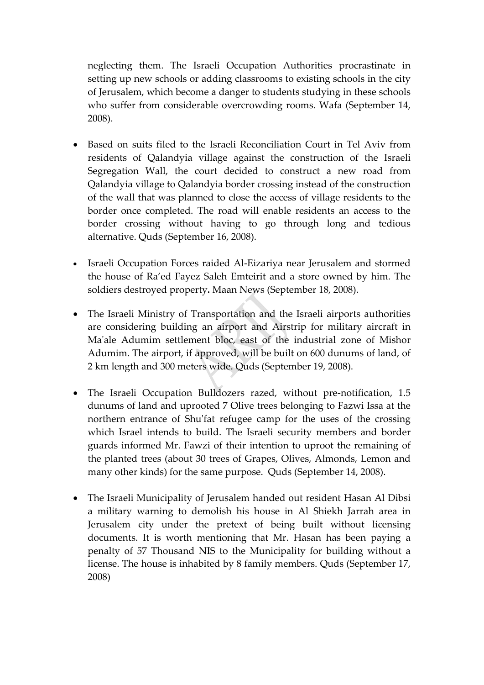neglecting them. The Israeli Occupation Authorities procrastinate in setting up new schools or adding classrooms to existing schools in the city of Jerusalem, which become a danger to students studying in these schools who suffer from considerable overcrowding rooms. Wafa (September 14, 2008).

- Based on suits filed to the Israeli Reconciliation Court in Tel Aviv from residents of Qalandyia village against the construction of the Israeli Segregation Wall, the court decided to construct a new road from Qalandyia village to Qalandyia border crossing instead of the construction of the wall that was planned to close the access of village residents to the border once completed. The road will enable residents an access to the border crossing without having to go through long and tedious alternative. Quds (September 16, 2008).
- Israeli Occupation Forces raided Al-Eizariya near Jerusalem and stormed the house of Ra'ed Fayez Saleh Emteirit and a store owned by him. The soldiers destroyed property**.** Maan News (September 18, 2008).
- The Israeli Ministry of Transportation and the Israeli airports authorities are considering building an airport and Airstrip for military aircraft in Maʹale Adumim settlement bloc, east of the industrial zone of Mishor Adumim. The airport, if approved, will be built on 600 dunums of land, of 2 km length and 300 meters wide. Quds (September 19, 2008).
- The Israeli Occupation Bulldozers razed, without pre-notification, 1.5 dunums of land and uprooted 7 Olive trees belonging to Fazwi Issa at the northern entrance of Shuʹfat refugee camp for the uses of the crossing which Israel intends to build. The Israeli security members and border guards informed Mr. Fawzi of their intention to uproot the remaining of the planted trees (about 30 trees of Grapes, Olives, Almonds, Lemon and many other kinds) for the same purpose. Quds (September 14, 2008).
- The Israeli Municipality of Jerusalem handed out resident Hasan Al Dibsi a military warning to demolish his house in Al Shiekh Jarrah area in Jerusalem city under the pretext of being built without licensing documents. It is worth mentioning that Mr. Hasan has been paying a penalty of 57 Thousand NIS to the Municipality for building without a license. The house is inhabited by 8 family members. Quds (September 17, 2008)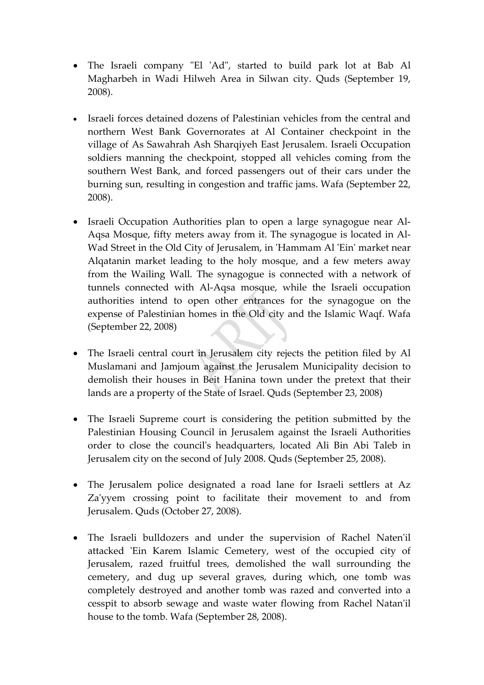- The Israeli company "El 'Ad", started to build park lot at Bab Al Magharbeh in Wadi Hilweh Area in Silwan city. Quds (September 19, 2008).
- Israeli forces detained dozens of Palestinian vehicles from the central and northern West Bank Governorates at Al Container checkpoint in the village of As Sawahrah Ash Sharqiyeh East Jerusalem. Israeli Occupation soldiers manning the checkpoint, stopped all vehicles coming from the southern West Bank, and forced passengers out of their cars under the burning sun, resulting in congestion and traffic jams. Wafa (September 22, 2008).
- Israeli Occupation Authorities plan to open a large synagogue near Al‐ Aqsa Mosque, fifty meters away from it. The synagogue is located in Al‐ Wad Street in the Old City of Jerusalem, in 'Hammam Al 'Ein' market near Alqatanin market leading to the holy mosque, and a few meters away from the Wailing Wall. The synagogue is connected with a network of tunnels connected with Al‐Aqsa mosque, while the Israeli occupation authorities intend to open other entrances for the synagogue on the expense of Palestinian homes in the Old city and the Islamic Waqf. Wafa (September 22, 2008)
- The Israeli central court in Jerusalem city rejects the petition filed by Al Muslamani and Jamjoum against the Jerusalem Municipality decision to demolish their houses in Beit Hanina town under the pretext that their lands are a property of the State of Israel. Quds (September 23, 2008)
- The Israeli Supreme court is considering the petition submitted by the Palestinian Housing Council in Jerusalem against the Israeli Authorities order to close the councilʹs headquarters, located Ali Bin Abi Taleb in Jerusalem city on the second of July 2008. Quds (September 25, 2008).
- The Jerusalem police designated a road lane for Israeli settlers at Az Za'yyem crossing point to facilitate their movement to and from Jerusalem. Quds (October 27, 2008).
- The Israeli bulldozers and under the supervision of Rachel Natenʹil attacked 'Ein Karem Islamic Cemetery, west of the occupied city of Jerusalem, razed fruitful trees, demolished the wall surrounding the cemetery, and dug up several graves, during which, one tomb was completely destroyed and another tomb was razed and converted into a cesspit to absorb sewage and waste water flowing from Rachel Natanʹil house to the tomb. Wafa (September 28, 2008).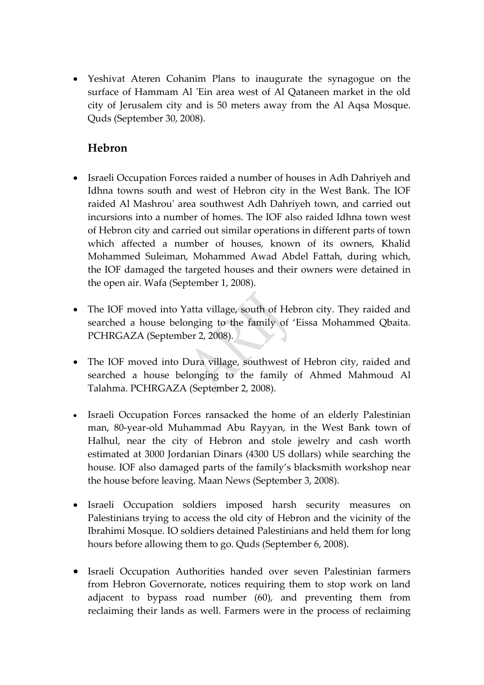• Yeshivat Ateren Cohanim Plans to inaugurate the synagogue on the surface of Hammam Al 'Ein area west of Al Qataneen market in the old city of Jerusalem city and is 50 meters away from the Al Aqsa Mosque. Quds (September 30, 2008).

### **Hebron**

- Israeli Occupation Forces raided a number of houses in Adh Dahriyeh and Idhna towns south and west of Hebron city in the West Bank. The IOF raided Al Mashrouʹ area southwest Adh Dahriyeh town, and carried out incursions into a number of homes. The IOF also raided Idhna town west of Hebron city and carried out similar operations in different parts of town which affected a number of houses, known of its owners, Khalid Mohammed Suleiman, Mohammed Awad Abdel Fattah, during which, the IOF damaged the targeted houses and their owners were detained in the open air. Wafa (September 1, 2008).
- The IOF moved into Yatta village, south of Hebron city. They raided and searched a house belonging to the family of 'Eissa Mohammed Qbaita. PCHRGAZA (September 2, 2008).
- The IOF moved into Dura village, southwest of Hebron city, raided and searched a house belonging to the family of Ahmed Mahmoud Al Talahma. PCHRGAZA (September 2, 2008).
- Israeli Occupation Forces ransacked the home of an elderly Palestinian man, 80‐year‐old Muhammad Abu Rayyan, in the West Bank town of Halhul, near the city of Hebron and stole jewelry and cash worth estimated at 3000 Jordanian Dinars (4300 US dollars) while searching the house. IOF also damaged parts of the family's blacksmith workshop near the house before leaving. Maan News (September 3, 2008).
- Israeli Occupation soldiers imposed harsh security measures on Palestinians trying to access the old city of Hebron and the vicinity of the Ibrahimi Mosque. IO soldiers detained Palestinians and held them for long hours before allowing them to go. Quds (September 6, 2008).
- Israeli Occupation Authorities handed over seven Palestinian farmers from Hebron Governorate, notices requiring them to stop work on land adjacent to bypass road number (60), and preventing them from reclaiming their lands as well. Farmers were in the process of reclaiming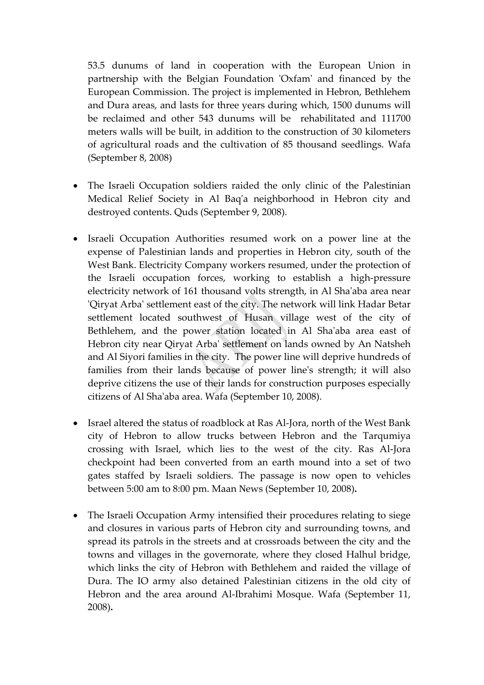53.5 dunums of land in cooperation with the European Union in partnership with the Belgian Foundation 'Oxfam' and financed by the European Commission. The project is implemented in Hebron, Bethlehem and Dura areas, and lasts for three years during which, 1500 dunums will be reclaimed and other 543 dunums will be rehabilitated and 111700 meters walls will be built, in addition to the construction of 30 kilometers of agricultural roads and the cultivation of 85 thousand seedlings. Wafa (September 8, 2008)

- The Israeli Occupation soldiers raided the only clinic of the Palestinian Medical Relief Society in Al Baqʹa neighborhood in Hebron city and destroyed contents. Quds (September 9, 2008).
- Israeli Occupation Authorities resumed work on a power line at the expense of Palestinian lands and properties in Hebron city, south of the West Bank. Electricity Company workers resumed, under the protection of the Israeli occupation forces, working to establish a high‐pressure electricity network of 161 thousand volts strength, in Al Shaʹaba area near ʹQiryat Arbaʹ settlement east of the city. The network will link Hadar Betar settlement located southwest of Husan village west of the city of Bethlehem, and the power station located in Al Sha'aba area east of Hebron city near Qiryat Arbaʹ settlement on lands owned by An Natsheh and Al Siyori families in the city. The power line will deprive hundreds of families from their lands because of power line's strength; it will also deprive citizens the use of their lands for construction purposes especially citizens of Al Shaʹaba area. Wafa (September 10, 2008).
- Israel altered the status of roadblock at Ras Al-Jora, north of the West Bank city of Hebron to allow trucks between Hebron and the Tarqumiya crossing with Israel, which lies to the west of the city. Ras Al‐Jora checkpoint had been converted from an earth mound into a set of two gates staffed by Israeli soldiers. The passage is now open to vehicles between 5:00 am to 8:00 pm. Maan News (September 10, 2008)**.**
- The Israeli Occupation Army intensified their procedures relating to siege and closures in various parts of Hebron city and surrounding towns, and spread its patrols in the streets and at crossroads between the city and the towns and villages in the governorate, where they closed Halhul bridge, which links the city of Hebron with Bethlehem and raided the village of Dura. The IO army also detained Palestinian citizens in the old city of Hebron and the area around Al‐Ibrahimi Mosque. Wafa (September 11, 2008)**.**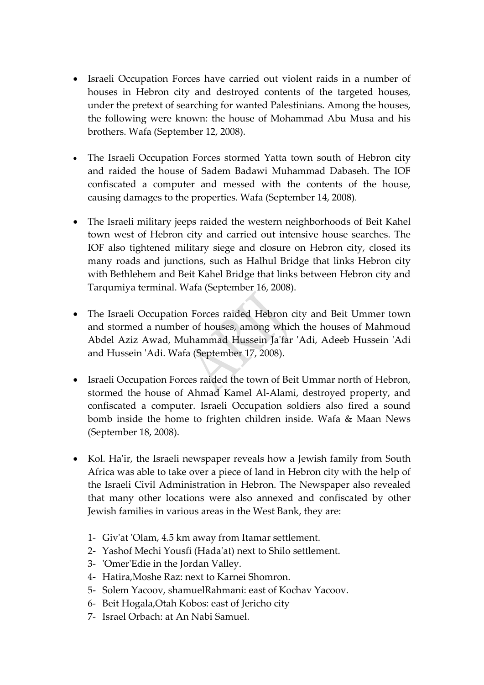- Israeli Occupation Forces have carried out violent raids in a number of houses in Hebron city and destroyed contents of the targeted houses, under the pretext of searching for wanted Palestinians. Among the houses, the following were known: the house of Mohammad Abu Musa and his brothers. Wafa (September 12, 2008).
- The Israeli Occupation Forces stormed Yatta town south of Hebron city and raided the house of Sadem Badawi Muhammad Dabaseh. The IOF confiscated a computer and messed with the contents of the house, causing damages to the properties. Wafa (September 14, 2008).
- The Israeli military jeeps raided the western neighborhoods of Beit Kahel town west of Hebron city and carried out intensive house searches. The IOF also tightened military siege and closure on Hebron city, closed its many roads and junctions, such as Halhul Bridge that links Hebron city with Bethlehem and Beit Kahel Bridge that links between Hebron city and Tarqumiya terminal. Wafa (September 16, 2008).
- The Israeli Occupation Forces raided Hebron city and Beit Ummer town and stormed a number of houses, among which the houses of Mahmoud Abdel Aziz Awad, Muhammad Hussein Jaʹfar ʹAdi, Adeeb Hussein ʹAdi and Hussein ʹAdi. Wafa (September 17, 2008).
- Israeli Occupation Forces raided the town of Beit Ummar north of Hebron, stormed the house of Ahmad Kamel Al‐Alami, destroyed property, and confiscated a computer. Israeli Occupation soldiers also fired a sound bomb inside the home to frighten children inside. Wafa & Maan News (September 18, 2008).
- Kol. Ha'ir, the Israeli newspaper reveals how a Jewish family from South Africa was able to take over a piece of land in Hebron city with the help of the Israeli Civil Administration in Hebron. The Newspaper also revealed that many other locations were also annexed and confiscated by other Jewish families in various areas in the West Bank, they are:
	- 1‐ Givʹat ʹOlam, 4.5 km away from Itamar settlement.
	- 2‐ Yashof Mechi Yousfi (Hadaʹat) next to Shilo settlement.
	- 3‐ ʹOmerʹEdie in the Jordan Valley.
	- 4‐ Hatira,Moshe Raz: next to Karnei Shomron.
	- 5‐ Solem Yacoov, shamuelRahmani: east of Kochav Yacoov.
	- 6‐ Beit Hogala,Otah Kobos: east of Jericho city
	- 7‐ Israel Orbach: at An Nabi Samuel.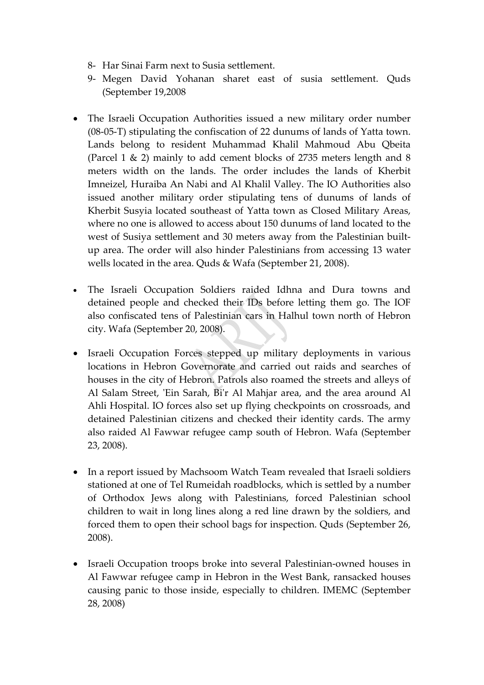- 8‐ Har Sinai Farm next to Susia settlement.
- 9‐ Megen David Yohanan sharet east of susia settlement. Quds (September 19,2008
- The Israeli Occupation Authorities issued a new military order number (08‐05‐T) stipulating the confiscation of 22 dunums of lands of Yatta town. Lands belong to resident Muhammad Khalil Mahmoud Abu Qbeita (Parcel 1 & 2) mainly to add cement blocks of 2735 meters length and 8 meters width on the lands. The order includes the lands of Kherbit Imneizel, Huraiba An Nabi and Al Khalil Valley. The IO Authorities also issued another military order stipulating tens of dunums of lands of Kherbit Susyia located southeast of Yatta town as Closed Military Areas, where no one is allowed to access about 150 dunums of land located to the west of Susiya settlement and 30 meters away from the Palestinian builtup area. The order will also hinder Palestinians from accessing 13 water wells located in the area. Quds & Wafa (September 21, 2008).
- The Israeli Occupation Soldiers raided Idhna and Dura towns and detained people and checked their IDs before letting them go. The IOF also confiscated tens of Palestinian cars in Halhul town north of Hebron city. Wafa (September 20, 2008).
- Israeli Occupation Forces stepped up military deployments in various locations in Hebron Governorate and carried out raids and searches of houses in the city of Hebron. Patrols also roamed the streets and alleys of Al Salam Street, 'Ein Sarah, Bi'r Al Mahjar area, and the area around Al Ahli Hospital. IO forces also set up flying checkpoints on crossroads, and detained Palestinian citizens and checked their identity cards. The army also raided Al Fawwar refugee camp south of Hebron. Wafa (September 23, 2008).
- In a report issued by Machsoom Watch Team revealed that Israeli soldiers stationed at one of Tel Rumeidah roadblocks, which is settled by a number of Orthodox Jews along with Palestinians, forced Palestinian school children to wait in long lines along a red line drawn by the soldiers, and forced them to open their school bags for inspection. Quds (September 26, 2008).
- Israeli Occupation troops broke into several Palestinian‐owned houses in Al Fawwar refugee camp in Hebron in the West Bank, ransacked houses causing panic to those inside, especially to children. IMEMC (September 28, 2008)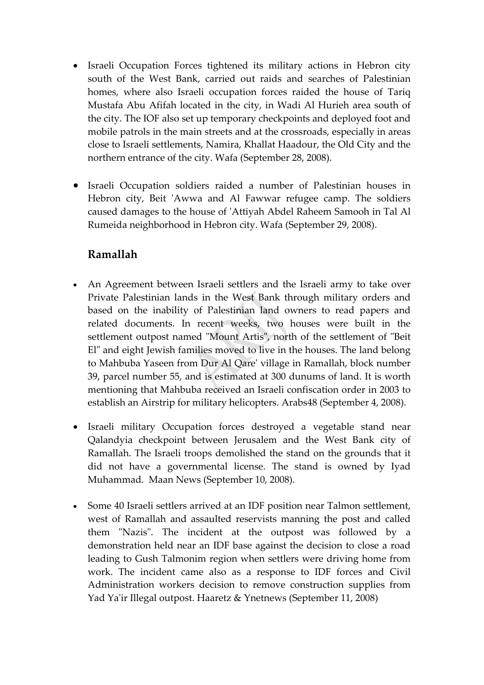- Israeli Occupation Forces tightened its military actions in Hebron city south of the West Bank, carried out raids and searches of Palestinian homes, where also Israeli occupation forces raided the house of Tariq Mustafa Abu Afifah located in the city, in Wadi Al Hurieh area south of the city. The IOF also set up temporary checkpoints and deployed foot and mobile patrols in the main streets and at the crossroads, especially in areas close to Israeli settlements, Namira, Khallat Haadour, the Old City and the northern entrance of the city. Wafa (September 28, 2008).
- Israeli Occupation soldiers raided a number of Palestinian houses in Hebron city, Beit 'Awwa and Al Fawwar refugee camp. The soldiers caused damages to the house of ʹAttiyah Abdel Raheem Samooh in Tal Al Rumeida neighborhood in Hebron city. Wafa (September 29, 2008).

## **Ramallah**

- An Agreement between Israeli settlers and the Israeli army to take over Private Palestinian lands in the West Bank through military orders and based on the inability of Palestinian land owners to read papers and related documents. In recent weeks, two houses were built in the settlement outpost named "Mount Artis", north of the settlement of "Beit El" and eight Jewish families moved to live in the houses. The land belong to Mahbuba Yaseen from Dur Al Qareʹ village in Ramallah, block number 39, parcel number 55, and is estimated at 300 dunums of land. It is worth mentioning that Mahbuba received an Israeli confiscation order in 2003 to establish an Airstrip for military helicopters. Arabs48 (September 4, 2008).
- Israeli military Occupation forces destroyed a vegetable stand near Qalandyia checkpoint between Jerusalem and the West Bank city of Ramallah. The Israeli troops demolished the stand on the grounds that it did not have a governmental license. The stand is owned by Iyad Muhammad. Maan News (September 10, 2008).
- Some 40 Israeli settlers arrived at an IDF position near Talmon settlement, west of Ramallah and assaulted reservists manning the post and called them "Nazis". The incident at the outpost was followed by a demonstration held near an IDF base against the decision to close a road leading to Gush Talmonim region when settlers were driving home from work. The incident came also as a response to IDF forces and Civil Administration workers decision to remove construction supplies from Yad Ya'ir Illegal outpost. Haaretz & Ynetnews (September 11, 2008)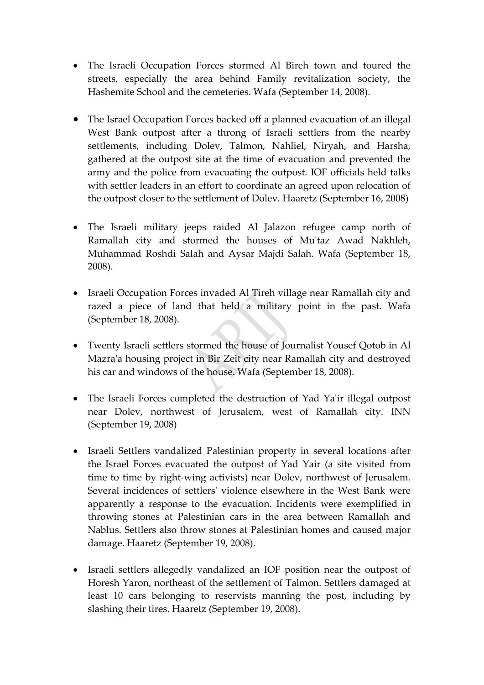- The Israeli Occupation Forces stormed Al Bireh town and toured the streets, especially the area behind Family revitalization society, the Hashemite School and the cemeteries. Wafa (September 14, 2008).
- The Israel Occupation Forces backed off a planned evacuation of an illegal West Bank outpost after a throng of Israeli settlers from the nearby settlements, including Dolev, Talmon, Nahliel, Niryah, and Harsha, gathered at the outpost site at the time of evacuation and prevented the army and the police from evacuating the outpost. IOF officials held talks with settler leaders in an effort to coordinate an agreed upon relocation of the outpost closer to the settlement of Dolev. Haaretz (September 16, 2008)
- The Israeli military jeeps raided Al Jalazon refugee camp north of Ramallah city and stormed the houses of Mu'taz Awad Nakhleh, Muhammad Roshdi Salah and Aysar Majdi Salah. Wafa (September 18, 2008).
- Israeli Occupation Forces invaded Al Tireh village near Ramallah city and razed a piece of land that held a military point in the past. Wafa (September 18, 2008).
- Twenty Israeli settlers stormed the house of Journalist Yousef Qotob in Al Mazraʹa housing project in Bir Zeit city near Ramallah city and destroyed his car and windows of the house. Wafa (September 18, 2008).
- The Israeli Forces completed the destruction of Yad Ya'ir illegal outpost near Dolev, northwest of Jerusalem, west of Ramallah city. INN (September 19, 2008)
- Israeli Settlers vandalized Palestinian property in several locations after the Israel Forces evacuated the outpost of Yad Yair (a site visited from time to time by right‐wing activists) near Dolev, northwest of Jerusalem. Several incidences of settlersʹ violence elsewhere in the West Bank were apparently a response to the evacuation. Incidents were exemplified in throwing stones at Palestinian cars in the area between Ramallah and Nablus. Settlers also throw stones at Palestinian homes and caused major damage. Haaretz (September 19, 2008).
- Israeli settlers allegedly vandalized an IOF position near the outpost of Horesh Yaron, northeast of the settlement of Talmon. Settlers damaged at least 10 cars belonging to reservists manning the post, including by slashing their tires. Haaretz (September 19, 2008).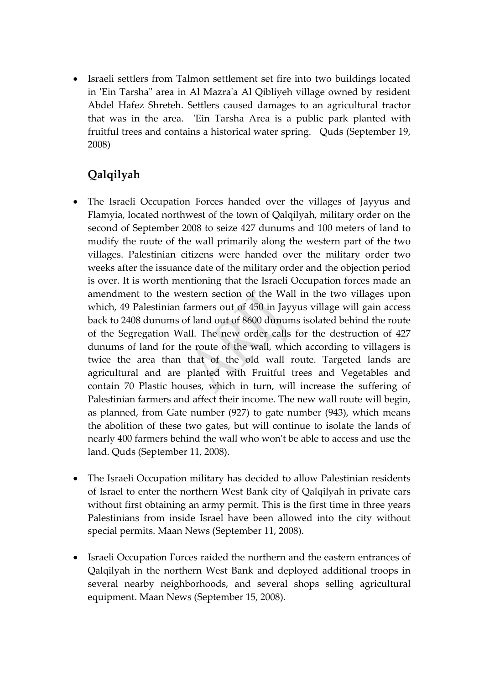• Israeli settlers from Talmon settlement set fire into two buildings located in ʹEin Tarshaʺ area in Al Mazraʹa Al Qibliyeh village owned by resident Abdel Hafez Shreteh. Settlers caused damages to an agricultural tractor that was in the area. 'Ein Tarsha Area is a public park planted with fruitful trees and contains a historical water spring. Quds (September 19, 2008)

# **Qalqilyah**

- The Israeli Occupation Forces handed over the villages of Jayyus and Flamyia, located northwest of the town of Qalqilyah, military order on the second of September 2008 to seize 427 dunums and 100 meters of land to modify the route of the wall primarily along the western part of the two villages. Palestinian citizens were handed over the military order two weeks after the issuance date of the military order and the objection period is over. It is worth mentioning that the Israeli Occupation forces made an amendment to the western section of the Wall in the two villages upon which, 49 Palestinian farmers out of 450 in Jayyus village will gain access back to 2408 dunums of land out of 8600 dunums isolated behind the route of the Segregation Wall. The new order calls for the destruction of 427 dunums of land for the route of the wall, which according to villagers is twice the area than that of the old wall route. Targeted lands are agricultural and are planted with Fruitful trees and Vegetables and contain 70 Plastic houses, which in turn, will increase the suffering of Palestinian farmers and affect their income. The new wall route will begin, as planned, from Gate number (927) to gate number (943), which means the abolition of these two gates, but will continue to isolate the lands of nearly 400 farmers behind the wall who won't be able to access and use the land. Quds (September 11, 2008).
- The Israeli Occupation military has decided to allow Palestinian residents of Israel to enter the northern West Bank city of Qalqilyah in private cars without first obtaining an army permit. This is the first time in three years Palestinians from inside Israel have been allowed into the city without special permits. Maan News (September 11, 2008).
- Israeli Occupation Forces raided the northern and the eastern entrances of Qalqilyah in the northern West Bank and deployed additional troops in several nearby neighborhoods, and several shops selling agricultural equipment. Maan News (September 15, 2008).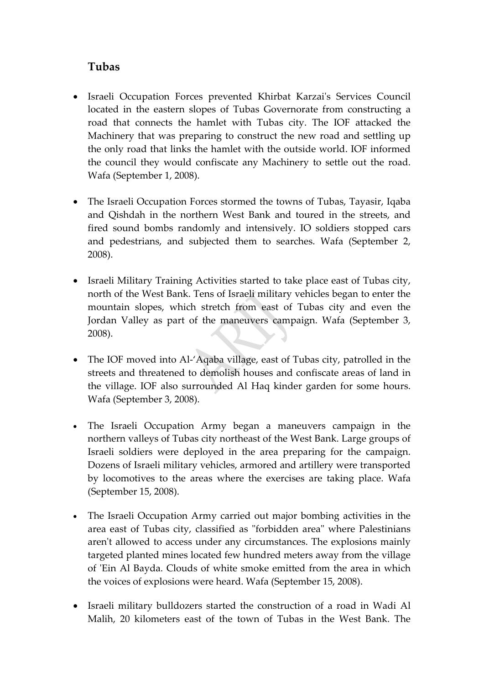### **Tubas**

- Israeli Occupation Forces prevented Khirbat Karzaiʹs Services Council located in the eastern slopes of Tubas Governorate from constructing a road that connects the hamlet with Tubas city. The IOF attacked the Machinery that was preparing to construct the new road and settling up the only road that links the hamlet with the outside world. IOF informed the council they would confiscate any Machinery to settle out the road. Wafa (September 1, 2008).
- The Israeli Occupation Forces stormed the towns of Tubas, Tayasir, Iqaba and Qishdah in the northern West Bank and toured in the streets, and fired sound bombs randomly and intensively. IO soldiers stopped cars and pedestrians, and subjected them to searches. Wafa (September 2, 2008).
- Israeli Military Training Activities started to take place east of Tubas city, north of the West Bank. Tens of Israeli military vehicles began to enter the mountain slopes, which stretch from east of Tubas city and even the Jordan Valley as part of the maneuvers campaign. Wafa (September 3, 2008).
- The IOF moved into Al-'Aqaba village, east of Tubas city, patrolled in the streets and threatened to demolish houses and confiscate areas of land in the village. IOF also surrounded Al Haq kinder garden for some hours. Wafa (September 3, 2008).
- The Israeli Occupation Army began a maneuvers campaign in the northern valleys of Tubas city northeast of the West Bank. Large groups of Israeli soldiers were deployed in the area preparing for the campaign. Dozens of Israeli military vehicles, armored and artillery were transported by locomotives to the areas where the exercises are taking place. Wafa (September 15, 2008).
- The Israeli Occupation Army carried out major bombing activities in the area east of Tubas city, classified as "forbidden area" where Palestinians aren't allowed to access under any circumstances. The explosions mainly targeted planted mines located few hundred meters away from the village of ʹEin Al Bayda. Clouds of white smoke emitted from the area in which the voices of explosions were heard. Wafa (September 15, 2008).
- Israeli military bulldozers started the construction of a road in Wadi Al Malih, 20 kilometers east of the town of Tubas in the West Bank. The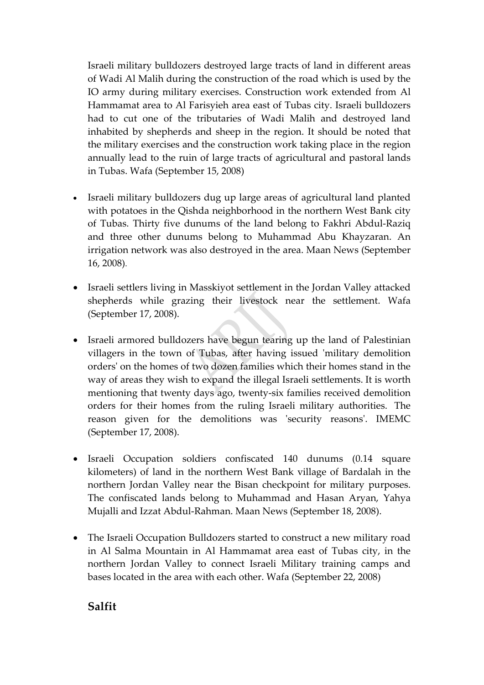Israeli military bulldozers destroyed large tracts of land in different areas of Wadi Al Malih during the construction of the road which is used by the IO army during military exercises. Construction work extended from Al Hammamat area to Al Farisyieh area east of Tubas city. Israeli bulldozers had to cut one of the tributaries of Wadi Malih and destroyed land inhabited by shepherds and sheep in the region. It should be noted that the military exercises and the construction work taking place in the region annually lead to the ruin of large tracts of agricultural and pastoral lands in Tubas. Wafa (September 15, 2008)

- Israeli military bulldozers dug up large areas of agricultural land planted with potatoes in the Qishda neighborhood in the northern West Bank city of Tubas. Thirty five dunums of the land belong to Fakhri Abdul‐Raziq and three other dunums belong to Muhammad Abu Khayzaran. An irrigation network was also destroyed in the area. Maan News (September 16, 2008).
- Israeli settlers living in Masskiyot settlement in the Jordan Valley attacked shepherds while grazing their livestock near the settlement. Wafa (September 17, 2008).
- Israeli armored bulldozers have begun tearing up the land of Palestinian villagers in the town of Tubas, after having issued 'military demolition ordersʹ on the homes of two dozen families which their homes stand in the way of areas they wish to expand the illegal Israeli settlements. It is worth mentioning that twenty days ago, twenty‐six families received demolition orders for their homes from the ruling Israeli military authorities. The reason given for the demolitions was 'security reasons'. IMEMC (September 17, 2008).
- Israeli Occupation soldiers confiscated 140 dunums (0.14 square kilometers) of land in the northern West Bank village of Bardalah in the northern Jordan Valley near the Bisan checkpoint for military purposes. The confiscated lands belong to Muhammad and Hasan Aryan, Yahya Mujalli and Izzat Abdul‐Rahman. Maan News (September 18, 2008).
- The Israeli Occupation Bulldozers started to construct a new military road in Al Salma Mountain in Al Hammamat area east of Tubas city, in the northern Jordan Valley to connect Israeli Military training camps and bases located in the area with each other. Wafa (September 22, 2008)

#### **Salfit**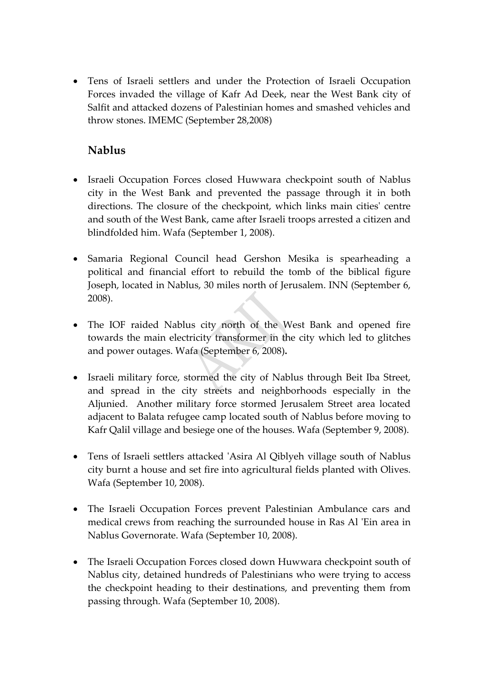• Tens of Israeli settlers and under the Protection of Israeli Occupation Forces invaded the village of Kafr Ad Deek, near the West Bank city of Salfit and attacked dozens of Palestinian homes and smashed vehicles and throw stones. IMEMC (September 28,2008)

## **Nablus**

- Israeli Occupation Forces closed Huwwara checkpoint south of Nablus city in the West Bank and prevented the passage through it in both directions. The closure of the checkpoint, which links main cities' centre and south of the West Bank, came after Israeli troops arrested a citizen and blindfolded him. Wafa (September 1, 2008).
- Samaria Regional Council head Gershon Mesika is spearheading a political and financial effort to rebuild the tomb of the biblical figure Joseph, located in Nablus, 30 miles north of Jerusalem. INN (September 6, 2008).
- The IOF raided Nablus city north of the West Bank and opened fire towards the main electricity transformer in the city which led to glitches and power outages. Wafa (September 6, 2008)**.**
- Israeli military force, stormed the city of Nablus through Beit Iba Street, and spread in the city streets and neighborhoods especially in the Aljunied. Another military force stormed Jerusalem Street area located adjacent to Balata refugee camp located south of Nablus before moving to Kafr Qalil village and besiege one of the houses. Wafa (September 9, 2008).
- Tens of Israeli settlers attacked 'Asira Al Qiblyeh village south of Nablus city burnt a house and set fire into agricultural fields planted with Olives. Wafa (September 10, 2008).
- The Israeli Occupation Forces prevent Palestinian Ambulance cars and medical crews from reaching the surrounded house in Ras Al ʹEin area in Nablus Governorate. Wafa (September 10, 2008).
- The Israeli Occupation Forces closed down Huwwara checkpoint south of Nablus city, detained hundreds of Palestinians who were trying to access the checkpoint heading to their destinations, and preventing them from passing through. Wafa (September 10, 2008).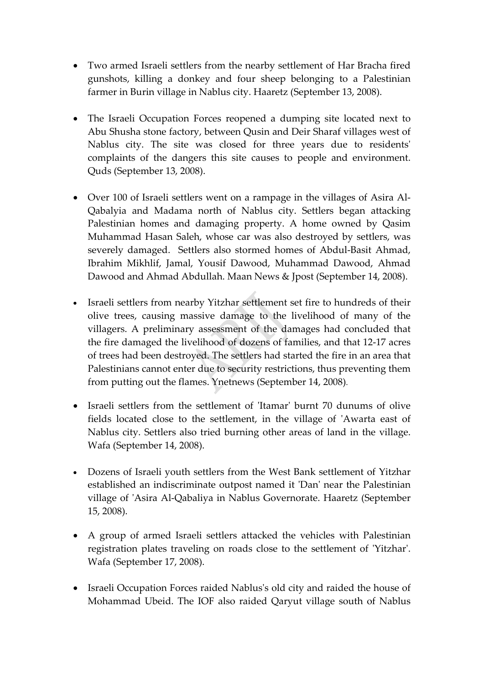- Two armed Israeli settlers from the nearby settlement of Har Bracha fired gunshots, killing a donkey and four sheep belonging to a Palestinian farmer in Burin village in Nablus city. Haaretz (September 13, 2008).
- The Israeli Occupation Forces reopened a dumping site located next to Abu Shusha stone factory, between Qusin and Deir Sharaf villages west of Nablus city. The site was closed for three years due to residentsʹ complaints of the dangers this site causes to people and environment. Quds (September 13, 2008).
- Over 100 of Israeli settlers went on a rampage in the villages of Asira Al-Qabalyia and Madama north of Nablus city. Settlers began attacking Palestinian homes and damaging property. A home owned by Qasim Muhammad Hasan Saleh, whose car was also destroyed by settlers, was severely damaged. Settlers also stormed homes of Abdul-Basit Ahmad, Ibrahim Mikhlif, Jamal, Yousif Dawood, Muhammad Dawood, Ahmad Dawood and Ahmad Abdullah. Maan News & Jpost (September 14, 2008).
- Israeli settlers from nearby Yitzhar settlement set fire to hundreds of their olive trees, causing massive damage to the livelihood of many of the villagers. A preliminary assessment of the damages had concluded that the fire damaged the livelihood of dozens of families, and that 12‐17 acres of trees had been destroyed. The settlers had started the fire in an area that Palestinians cannot enter due to security restrictions, thus preventing them from putting out the flames. Ynetnews (September 14, 2008).
- Israeli settlers from the settlement of 'Itamar' burnt 70 dunums of olive fields located close to the settlement, in the village of 'Awarta east of Nablus city. Settlers also tried burning other areas of land in the village. Wafa (September 14, 2008).
- Dozens of Israeli youth settlers from the West Bank settlement of Yitzhar established an indiscriminate outpost named it 'Dan' near the Palestinian village of 'Asira Al-Qabaliya in Nablus Governorate. Haaretz (September 15, 2008).
- A group of armed Israeli settlers attacked the vehicles with Palestinian registration plates traveling on roads close to the settlement of 'Yitzhar'. Wafa (September 17, 2008).
- Israeli Occupation Forces raided Nablus's old city and raided the house of Mohammad Ubeid. The IOF also raided Qaryut village south of Nablus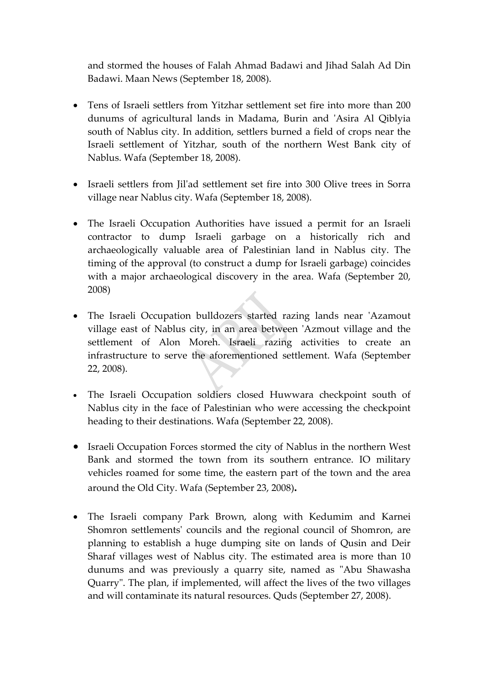and stormed the houses of Falah Ahmad Badawi and Jihad Salah Ad Din Badawi. Maan News (September 18, 2008).

- Tens of Israeli settlers from Yitzhar settlement set fire into more than 200 dunums of agricultural lands in Madama, Burin and ʹAsira Al Qiblyia south of Nablus city. In addition, settlers burned a field of crops near the Israeli settlement of Yitzhar, south of the northern West Bank city of Nablus. Wafa (September 18, 2008).
- Israeli settlers from Iil'ad settlement set fire into 300 Olive trees in Sorra village near Nablus city. Wafa (September 18, 2008).
- The Israeli Occupation Authorities have issued a permit for an Israeli contractor to dump Israeli garbage on a historically rich and archaeologically valuable area of Palestinian land in Nablus city. The timing of the approval (to construct a dump for Israeli garbage) coincides with a major archaeological discovery in the area. Wafa (September 20, 2008)
- The Israeli Occupation bulldozers started razing lands near 'Azamout village east of Nablus city, in an area between 'Azmout village and the settlement of Alon Moreh. Israeli razing activities to create an infrastructure to serve the aforementioned settlement. Wafa (September 22, 2008).
- The Israeli Occupation soldiers closed Huwwara checkpoint south of Nablus city in the face of Palestinian who were accessing the checkpoint heading to their destinations. Wafa (September 22, 2008).
- Israeli Occupation Forces stormed the city of Nablus in the northern West Bank and stormed the town from its southern entrance. IO military vehicles roamed for some time, the eastern part of the town and the area around the Old City. Wafa (September 23, 2008)**.**
- The Israeli company Park Brown, along with Kedumim and Karnei Shomron settlements' councils and the regional council of Shomron, are planning to establish a huge dumping site on lands of Qusin and Deir Sharaf villages west of Nablus city. The estimated area is more than 10 dunums and was previously a quarry site, named as "Abu Shawasha Quarry". The plan, if implemented, will affect the lives of the two villages and will contaminate its natural resources. Quds (September 27, 2008).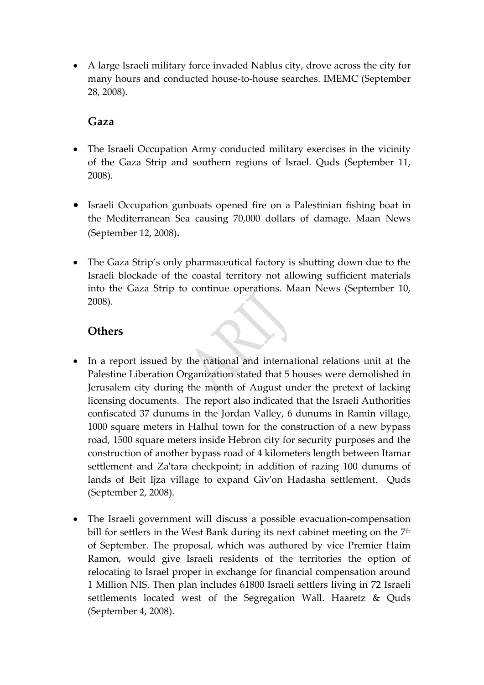• A large Israeli military force invaded Nablus city, drove across the city for many hours and conducted house‐to‐house searches. IMEMC (September 28, 2008).

#### **Gaza**

- The Israeli Occupation Army conducted military exercises in the vicinity of the Gaza Strip and southern regions of Israel. Quds (September 11, 2008).
- Israeli Occupation gunboats opened fire on a Palestinian fishing boat in the Mediterranean Sea causing 70,000 dollars of damage. Maan News (September 12, 2008)**.**
- The Gaza Strip's only pharmaceutical factory is shutting down due to the Israeli blockade of the coastal territory not allowing sufficient materials into the Gaza Strip to continue operations. Maan News (September 10, 2008).

#### **Others**

- In a report issued by the national and international relations unit at the Palestine Liberation Organization stated that 5 houses were demolished in Jerusalem city during the month of August under the pretext of lacking licensing documents. The report also indicated that the Israeli Authorities confiscated 37 dunums in the Jordan Valley, 6 dunums in Ramin village, 1000 square meters in Halhul town for the construction of a new bypass road, 1500 square meters inside Hebron city for security purposes and the construction of another bypass road of 4 kilometers length between Itamar settlement and Za'tara checkpoint; in addition of razing 100 dunums of lands of Beit Ijza village to expand Giv'on Hadasha settlement. Quds (September 2, 2008).
- The Israeli government will discuss a possible evacuation‐compensation bill for settlers in the West Bank during its next cabinet meeting on the  $7<sup>th</sup>$ of September. The proposal, which was authored by vice Premier Haim Ramon, would give Israeli residents of the territories the option of relocating to Israel proper in exchange for financial compensation around 1 Million NIS. Then plan includes 61800 Israeli settlers living in 72 Israeli settlements located west of the Segregation Wall. Haaretz & Quds (September 4, 2008).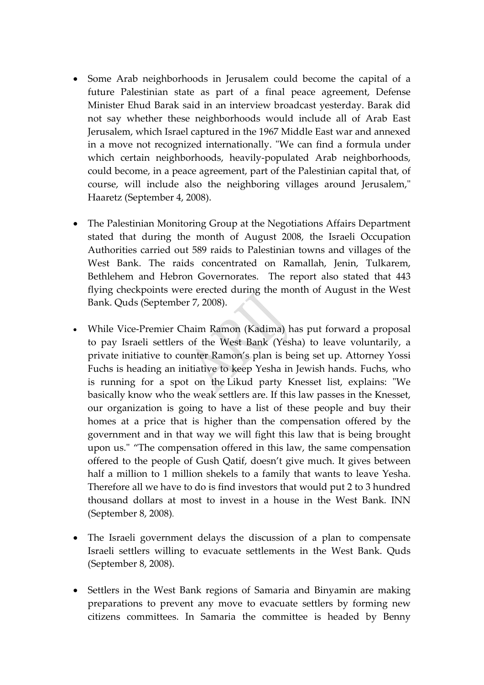- Some Arab neighborhoods in Jerusalem could become the capital of a future Palestinian state as part of a final peace agreement, Defense Minister Ehud Barak said in an interview broadcast yesterday. Barak did not say whether these neighborhoods would include all of Arab East Jerusalem, which Israel captured in the 1967 Middle East war and annexed in a move not recognized internationally. "We can find a formula under which certain neighborhoods, heavily‐populated Arab neighborhoods, could become, in a peace agreement, part of the Palestinian capital that, of course, will include also the neighboring villages around Jerusalem," Haaretz (September 4, 2008).
- The Palestinian Monitoring Group at the Negotiations Affairs Department stated that during the month of August 2008, the Israeli Occupation Authorities carried out 589 raids to Palestinian towns and villages of the West Bank. The raids concentrated on Ramallah, Jenin, Tulkarem, Bethlehem and Hebron Governorates. The report also stated that 443 flying checkpoints were erected during the month of August in the West Bank. Quds (September 7, 2008).
- While Vice-Premier Chaim Ramon (Kadima) has put forward a proposal to pay Israeli settlers of the West Bank (Yesha) to leave voluntarily, a private initiative to counter Ramon's plan is being set up. Attorney Yossi Fuchs is heading an initiative to keep Yesha in Jewish hands. Fuchs, who is running for a spot on the Likud party Knesset list, explains: "We basically know who the weak settlers are. If this law passes in the Knesset, our organization is going to have a list of these people and buy their homes at a price that is higher than the compensation offered by the government and in that way we will fight this law that is being brought upon us." "The compensation offered in this law, the same compensation offered to the people of Gush Qatif, doesn't give much. It gives between half a million to 1 million shekels to a family that wants to leave Yesha. Therefore all we have to do is find investors that would put 2 to 3 hundred thousand dollars at most to invest in a house in the West Bank. INN (September 8, 2008).
- The Israeli government delays the discussion of a plan to compensate Israeli settlers willing to evacuate settlements in the West Bank. Quds (September 8, 2008).
- Settlers in the West Bank regions of Samaria and Binyamin are making preparations to prevent any move to evacuate settlers by forming new citizens committees. In Samaria the committee is headed by Benny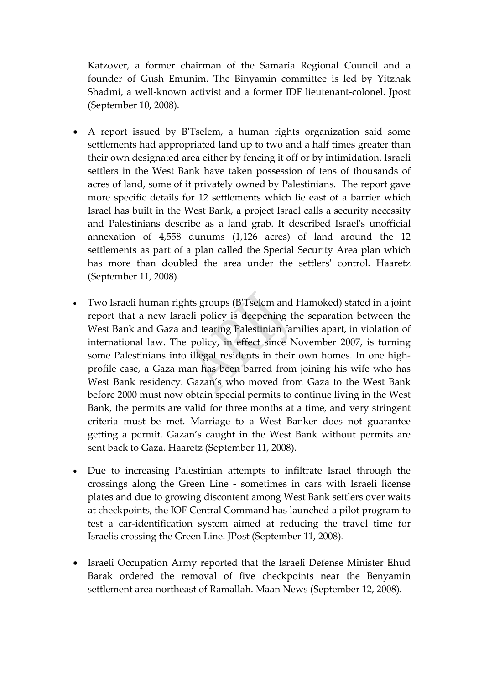Katzover, a former chairman of the Samaria Regional Council and a founder of Gush Emunim. The Binyamin committee is led by Yitzhak Shadmi, a well-known activist and a former IDF lieutenant-colonel. Jpost (September 10, 2008).

- A report issued by B'Tselem, a human rights organization said some settlements had appropriated land up to two and a half times greater than their own designated area either by fencing it off or by intimidation. Israeli settlers in the West Bank have taken possession of tens of thousands of acres of land, some of it privately owned by Palestinians. The report gave more specific details for 12 settlements which lie east of a barrier which Israel has built in the West Bank, a project Israel calls a security necessity and Palestinians describe as a land grab. It described Israelʹs unofficial annexation of 4,558 dunums (1,126 acres) of land around the 12 settlements as part of a plan called the Special Security Area plan which has more than doubled the area under the settlers' control. Haaretz (September 11, 2008).
- Two Israeli human rights groups (BʹTselem and Hamoked) stated in a joint report that a new Israeli policy is deepening the separation between the West Bank and Gaza and tearing Palestinian families apart, in violation of international law. The policy, in effect since November 2007, is turning some Palestinians into illegal residents in their own homes. In one highprofile case, a Gaza man has been barred from joining his wife who has West Bank residency. Gazan's who moved from Gaza to the West Bank before 2000 must now obtain special permits to continue living in the West Bank, the permits are valid for three months at a time, and very stringent criteria must be met. Marriage to a West Banker does not guarantee getting a permit. Gazan's caught in the West Bank without permits are sent back to Gaza. Haaretz (September 11, 2008).
- Due to increasing Palestinian attempts to infiltrate Israel through the crossings along the Green Line ‐ sometimes in cars with Israeli license plates and due to growing discontent among West Bank settlers over waits at checkpoints, the IOF Central Command has launched a pilot program to test a car-identification system aimed at reducing the travel time for Israelis crossing the Green Line. JPost (September 11, 2008).
- Israeli Occupation Army reported that the Israeli Defense Minister Ehud Barak ordered the removal of five checkpoints near the Benyamin settlement area northeast of Ramallah. Maan News (September 12, 2008).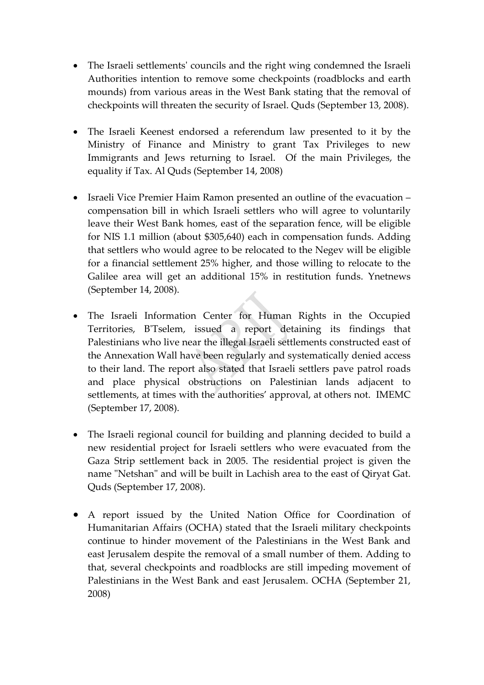- The Israeli settlements' councils and the right wing condemned the Israeli Authorities intention to remove some checkpoints (roadblocks and earth mounds) from various areas in the West Bank stating that the removal of checkpoints will threaten the security of Israel. Quds (September 13, 2008).
- The Israeli Keenest endorsed a referendum law presented to it by the Ministry of Finance and Ministry to grant Tax Privileges to new Immigrants and Jews returning to Israel. Of the main Privileges, the equality if Tax. Al Quds (September 14, 2008)
- Israeli Vice Premier Haim Ramon presented an outline of the evacuation compensation bill in which Israeli settlers who will agree to voluntarily leave their West Bank homes, east of the separation fence, will be eligible for NIS 1.1 million (about \$305,640) each in compensation funds. Adding that settlers who would agree to be relocated to the Negev will be eligible for a financial settlement 25% higher, and those willing to relocate to the Galilee area will get an additional 15% in restitution funds. Ynetnews (September 14, 2008).
- The Israeli Information Center for Human Rights in the Occupied Territories, BʹTselem, issued a report detaining its findings that Palestinians who live near the illegal Israeli settlements constructed east of the Annexation Wall have been regularly and systematically denied access to their land. The report also stated that Israeli settlers pave patrol roads and place physical obstructions on Palestinian lands adjacent to settlements, at times with the authorities' approval, at others not. IMEMC (September 17, 2008).
- The Israeli regional council for building and planning decided to build a new residential project for Israeli settlers who were evacuated from the Gaza Strip settlement back in 2005. The residential project is given the name "Netshan" and will be built in Lachish area to the east of Qiryat Gat. Quds (September 17, 2008).
- A report issued by the United Nation Office for Coordination of Humanitarian Affairs (OCHA) stated that the Israeli military checkpoints continue to hinder movement of the Palestinians in the West Bank and east Jerusalem despite the removal of a small number of them. Adding to that, several checkpoints and roadblocks are still impeding movement of Palestinians in the West Bank and east Jerusalem. OCHA (September 21, 2008)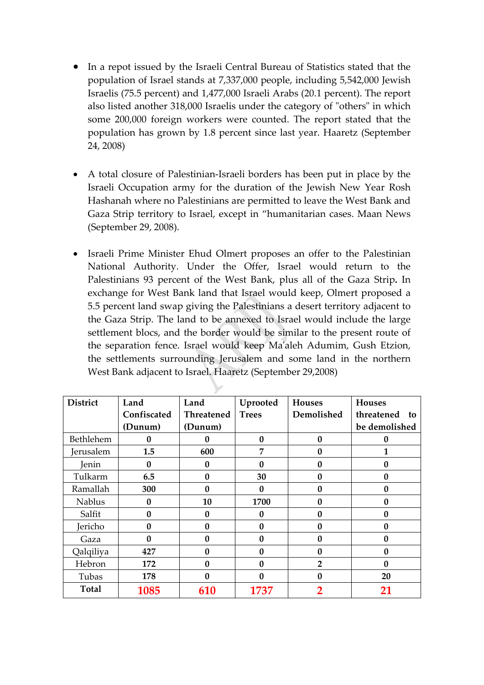- In a repot issued by the Israeli Central Bureau of Statistics stated that the population of Israel stands at 7,337,000 people, including 5,542,000 Jewish Israelis (75.5 percent) and 1,477,000 Israeli Arabs (20.1 percent). The report also listed another 318,000 Israelis under the category of "others" in which some 200,000 foreign workers were counted. The report stated that the population has grown by 1.8 percent since last year. Haaretz (September 24, 2008)
- A total closure of Palestinian-Israeli borders has been put in place by the Israeli Occupation army for the duration of the Jewish New Year Rosh Hashanah where no Palestinians are permitted to leave the West Bank and Gaza Strip territory to Israel, except in "humanitarian cases. Maan News (September 29, 2008).
- Israeli Prime Minister Ehud Olmert [proposes](http://www.haaretz.com/hasen/spages/1010812.html) an offer to the Palestinian National Authority. Under the Offer, Israel would return to the Palestinians 93 percent of the West Bank, plus all of the Gaza Strip**.** In exchange for West Bank land that Israel would keep, Olmert proposed a 5.5 percent land swap giving the Palestinians a desert territory adjacent to the Gaza Strip. The land to be annexed to Israel would include the large settlement blocs, and the border would be similar to the present route of the separation fence. Israel would keep Maʹaleh Adumim, Gush Etzion, the settlements surrounding Jerusalem and some land in the northern West Bank adjacent to Israel. Haaretz (September 29,2008)

| <b>District</b> | Land         | Land              | Uprooted     | <b>Houses</b>    | <b>Houses</b>    |
|-----------------|--------------|-------------------|--------------|------------------|------------------|
|                 | Confiscated  | <b>Threatened</b> | <b>Trees</b> | Demolished       | threatened<br>to |
|                 | (Dunum)      | (Dunum)           |              |                  | be demolished    |
| Bethlehem       | 0            | 0                 | $\bf{0}$     | $\bf{0}$         | 0                |
| Jerusalem       | 1.5          | 600               | 7            | N                |                  |
| Jenin           | 0            | 0                 | O            | $\boldsymbol{0}$ | 0                |
| Tulkarm         | 6.5          | $\bf{0}$          | 30           | $\mathbf{0}$     | 0                |
| Ramallah        | 300          | 0                 | 0            | $\boldsymbol{0}$ | 0                |
| <b>Nablus</b>   | 0            | 10                | 1700         | 0                | 0                |
| Salfit          | 0            | $\bf{0}$          | 0            | $\mathbf{0}$     | 0                |
| Jericho         | $\mathbf{0}$ | $\mathbf{0}$      | $\mathbf{0}$ | $\mathbf{0}$     | 0                |
| Gaza            | 0            | 0                 | O            | $\mathbf{0}$     | 0                |
| Qalqiliya       | 427          | $\bf{0}$          | $\mathbf{0}$ | $\mathbf{0}$     | 0                |
| Hebron          | 172          | 0                 | 0            | $\overline{2}$   | 0                |
| Tubas           | 178          | 0                 | 0            | N                | 20               |
| <b>Total</b>    | 1085         | 610               | 1737         | $\overline{2}$   | 21               |